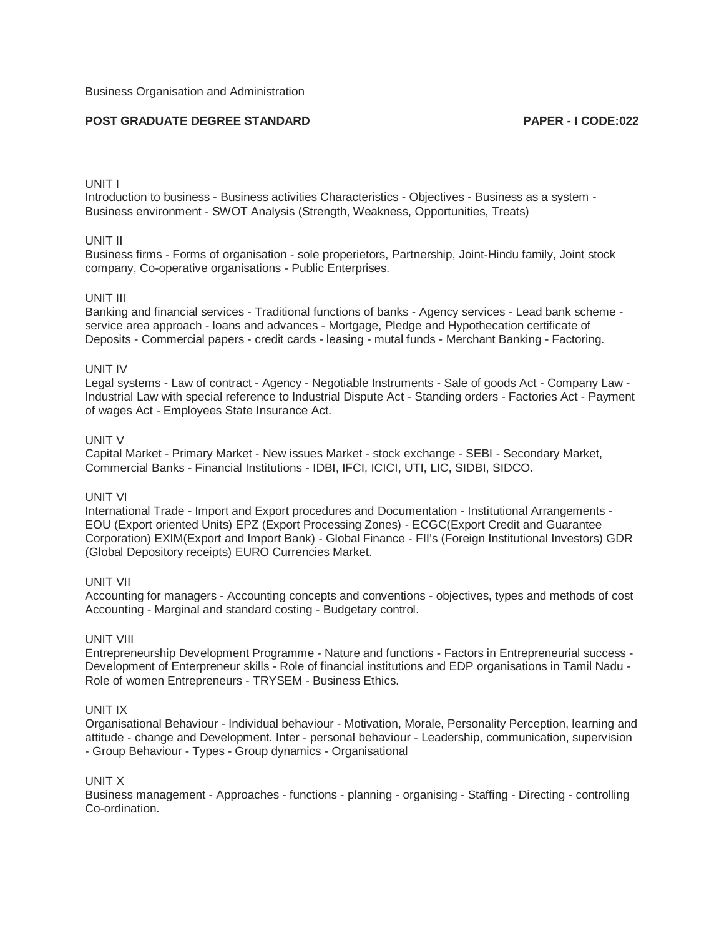# **POST GRADUATE DEGREE STANDARD PAPER - I CODE:022**

### UNIT I

Introduction to business - Business activities Characteristics - Objectives - Business as a system - Business environment - SWOT Analysis (Strength, Weakness, Opportunities, Treats)

## UNIT II

Business firms - Forms of organisation - sole properietors, Partnership, Joint-Hindu family, Joint stock company, Co-operative organisations - Public Enterprises.

# UNIT III

Banking and financial services - Traditional functions of banks - Agency services - Lead bank scheme service area approach - loans and advances - Mortgage, Pledge and Hypothecation certificate of Deposits - Commercial papers - credit cards - leasing - mutal funds - Merchant Banking - Factoring.

#### UNIT IV

Legal systems - Law of contract - Agency - Negotiable Instruments - Sale of goods Act - Company Law - Industrial Law with special reference to Industrial Dispute Act - Standing orders - Factories Act - Payment of wages Act - Employees State Insurance Act.

### UNIT V

Capital Market - Primary Market - New issues Market - stock exchange - SEBI - Secondary Market, Commercial Banks - Financial Institutions - IDBI, IFCI, ICICI, UTI, LIC, SIDBI, SIDCO.

## UNIT VI

International Trade - Import and Export procedures and Documentation - Institutional Arrangements - EOU (Export oriented Units) EPZ (Export Processing Zones) - ECGC(Export Credit and Guarantee Corporation) EXIM(Export and Import Bank) - Global Finance - FII's (Foreign Institutional Investors) GDR (Global Depository receipts) EURO Currencies Market.

### UNIT VII

Accounting for managers - Accounting concepts and conventions - objectives, types and methods of cost Accounting - Marginal and standard costing - Budgetary control.

### UNIT VIII

Entrepreneurship Development Programme - Nature and functions - Factors in Entrepreneurial success - Development of Enterpreneur skills - Role of financial institutions and EDP organisations in Tamil Nadu - Role of women Entrepreneurs - TRYSEM - Business Ethics.

### UNIT IX

Organisational Behaviour - Individual behaviour - Motivation, Morale, Personality Perception, learning and attitude - change and Development. Inter - personal behaviour - Leadership, communication, supervision - Group Behaviour - Types - Group dynamics - Organisational

### UNIT X

Business management - Approaches - functions - planning - organising - Staffing - Directing - controlling Co-ordination.